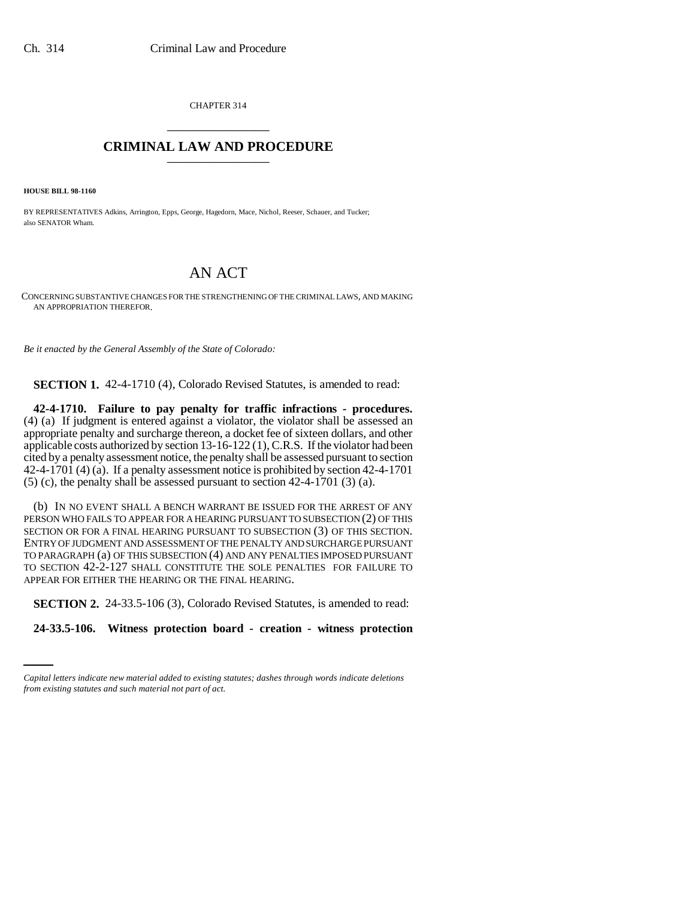CHAPTER 314 \_\_\_\_\_\_\_\_\_\_\_\_\_\_\_

# **CRIMINAL LAW AND PROCEDURE** \_\_\_\_\_\_\_\_\_\_\_\_\_\_\_

**HOUSE BILL 98-1160**

BY REPRESENTATIVES Adkins, Arrington, Epps, George, Hagedorn, Mace, Nichol, Reeser, Schauer, and Tucker; also SENATOR Wham.

# AN ACT

CONCERNING SUBSTANTIVE CHANGES FOR THE STRENGTHENING OF THE CRIMINAL LAWS, AND MAKING AN APPROPRIATION THEREFOR.

*Be it enacted by the General Assembly of the State of Colorado:*

**SECTION 1.** 42-4-1710 (4), Colorado Revised Statutes, is amended to read:

**42-4-1710. Failure to pay penalty for traffic infractions - procedures.** (4) (a) If judgment is entered against a violator, the violator shall be assessed an appropriate penalty and surcharge thereon, a docket fee of sixteen dollars, and other applicable costs authorized by section 13-16-122 (1), C.R.S. If the violator had been cited by a penalty assessment notice, the penalty shall be assessed pursuant to section 42-4-1701 (4) (a). If a penalty assessment notice is prohibited by section 42-4-1701  $(5)$  (c), the penalty shall be assessed pursuant to section 42-4-1701 (3) (a).

(b) IN NO EVENT SHALL A BENCH WARRANT BE ISSUED FOR THE ARREST OF ANY PERSON WHO FAILS TO APPEAR FOR A HEARING PURSUANT TO SUBSECTION (2) OF THIS SECTION OR FOR A FINAL HEARING PURSUANT TO SUBSECTION (3) OF THIS SECTION. ENTRY OF JUDGMENT AND ASSESSMENT OF THE PENALTY AND SURCHARGE PURSUANT TO PARAGRAPH (a) OF THIS SUBSECTION (4) AND ANY PENALTIES IMPOSED PURSUANT TO SECTION 42-2-127 SHALL CONSTITUTE THE SOLE PENALTIES FOR FAILURE TO APPEAR FOR EITHER THE HEARING OR THE FINAL HEARING.

**SECTION 2.** 24-33.5-106 (3), Colorado Revised Statutes, is amended to read:

**24-33.5-106. Witness protection board - creation - witness protection**

*Capital letters indicate new material added to existing statutes; dashes through words indicate deletions from existing statutes and such material not part of act.*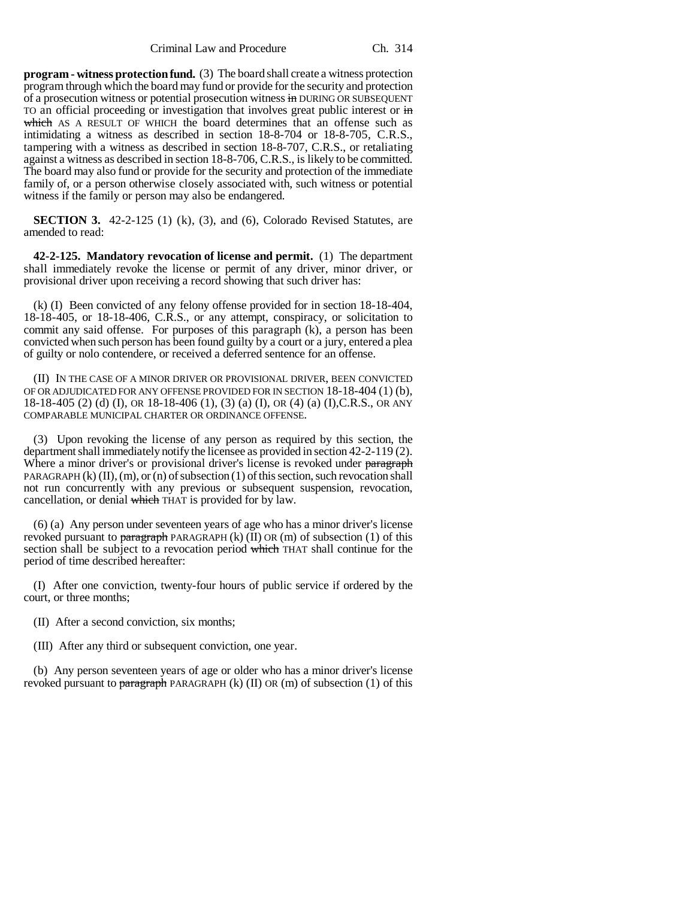Criminal Law and Procedure Ch. 314

**program - witness protection fund.** (3) The board shall create a witness protection program through which the board may fund or provide for the security and protection of a prosecution witness or potential prosecution witness in DURING OR SUBSEQUENT TO an official proceeding or investigation that involves great public interest or in which AS A RESULT OF WHICH the board determines that an offense such as intimidating a witness as described in section 18-8-704 or 18-8-705, C.R.S., tampering with a witness as described in section 18-8-707, C.R.S., or retaliating against a witness as described in section 18-8-706, C.R.S., is likely to be committed. The board may also fund or provide for the security and protection of the immediate family of, or a person otherwise closely associated with, such witness or potential witness if the family or person may also be endangered.

**SECTION 3.** 42-2-125 (1) (k), (3), and (6), Colorado Revised Statutes, are amended to read:

**42-2-125. Mandatory revocation of license and permit.** (1) The department shall immediately revoke the license or permit of any driver, minor driver, or provisional driver upon receiving a record showing that such driver has:

(k) (I) Been convicted of any felony offense provided for in section 18-18-404, 18-18-405, or 18-18-406, C.R.S., or any attempt, conspiracy, or solicitation to commit any said offense. For purposes of this paragraph (k), a person has been convicted when such person has been found guilty by a court or a jury, entered a plea of guilty or nolo contendere, or received a deferred sentence for an offense.

(II) IN THE CASE OF A MINOR DRIVER OR PROVISIONAL DRIVER, BEEN CONVICTED OF OR ADJUDICATED FOR ANY OFFENSE PROVIDED FOR IN SECTION 18-18-404 (1) (b), 18-18-405 (2) (d) (I), OR 18-18-406 (1), (3) (a) (I), OR (4) (a) (I),C.R.S., OR ANY COMPARABLE MUNICIPAL CHARTER OR ORDINANCE OFFENSE.

(3) Upon revoking the license of any person as required by this section, the department shall immediately notify the licensee as provided in section 42-2-119 (2). Where a minor driver's or provisional driver's license is revoked under paragraph PARAGRAPH  $(k)$   $(II)$ ,  $(m)$ , or  $(n)$  of subsection  $(1)$  of this section, such revocation shall not run concurrently with any previous or subsequent suspension, revocation, cancellation, or denial which THAT is provided for by law.

(6) (a) Any person under seventeen years of age who has a minor driver's license revoked pursuant to paragraph PARAGRAPH  $(k)$  (II) OR (m) of subsection (1) of this section shall be subject to a revocation period which THAT shall continue for the period of time described hereafter:

(I) After one conviction, twenty-four hours of public service if ordered by the court, or three months;

(II) After a second conviction, six months;

(III) After any third or subsequent conviction, one year.

(b) Any person seventeen years of age or older who has a minor driver's license revoked pursuant to paragraph PARAGRAPH  $(k)$  (II) OR (m) of subsection (1) of this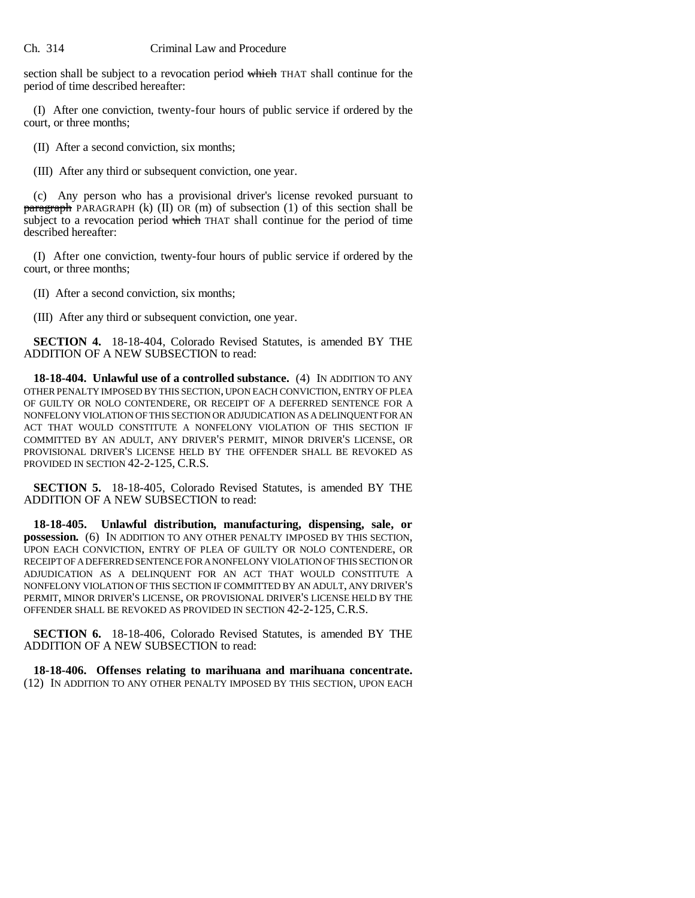section shall be subject to a revocation period which THAT shall continue for the period of time described hereafter:

(I) After one conviction, twenty-four hours of public service if ordered by the court, or three months;

(II) After a second conviction, six months;

(III) After any third or subsequent conviction, one year.

(c) Any person who has a provisional driver's license revoked pursuant to  $\frac{\partial}{\partial x}$  paragraph PARAGRAPH (k) (II) OR (m) of subsection (1) of this section shall be subject to a revocation period which THAT shall continue for the period of time described hereafter:

(I) After one conviction, twenty-four hours of public service if ordered by the court, or three months;

(II) After a second conviction, six months;

(III) After any third or subsequent conviction, one year.

**SECTION 4.** 18-18-404, Colorado Revised Statutes, is amended BY THE ADDITION OF A NEW SUBSECTION to read:

**18-18-404. Unlawful use of a controlled substance.** (4) IN ADDITION TO ANY OTHER PENALTY IMPOSED BY THIS SECTION, UPON EACH CONVICTION, ENTRY OF PLEA OF GUILTY OR NOLO CONTENDERE, OR RECEIPT OF A DEFERRED SENTENCE FOR A NONFELONY VIOLATION OF THIS SECTION OR ADJUDICATION AS A DELINQUENT FOR AN ACT THAT WOULD CONSTITUTE A NONFELONY VIOLATION OF THIS SECTION IF COMMITTED BY AN ADULT, ANY DRIVER'S PERMIT, MINOR DRIVER'S LICENSE, OR PROVISIONAL DRIVER'S LICENSE HELD BY THE OFFENDER SHALL BE REVOKED AS PROVIDED IN SECTION 42-2-125, C.R.S.

**SECTION 5.** 18-18-405, Colorado Revised Statutes, is amended BY THE ADDITION OF A NEW SUBSECTION to read:

**18-18-405. Unlawful distribution, manufacturing, dispensing, sale, or possession.** (6) IN ADDITION TO ANY OTHER PENALTY IMPOSED BY THIS SECTION, UPON EACH CONVICTION, ENTRY OF PLEA OF GUILTY OR NOLO CONTENDERE, OR RECEIPT OF A DEFERRED SENTENCE FOR A NONFELONY VIOLATION OF THIS SECTION OR ADJUDICATION AS A DELINQUENT FOR AN ACT THAT WOULD CONSTITUTE A NONFELONY VIOLATION OF THIS SECTION IF COMMITTED BY AN ADULT, ANY DRIVER'S PERMIT, MINOR DRIVER'S LICENSE, OR PROVISIONAL DRIVER'S LICENSE HELD BY THE OFFENDER SHALL BE REVOKED AS PROVIDED IN SECTION 42-2-125, C.R.S.

**SECTION 6.** 18-18-406, Colorado Revised Statutes, is amended BY THE ADDITION OF A NEW SUBSECTION to read:

**18-18-406. Offenses relating to marihuana and marihuana concentrate.** (12) IN ADDITION TO ANY OTHER PENALTY IMPOSED BY THIS SECTION, UPON EACH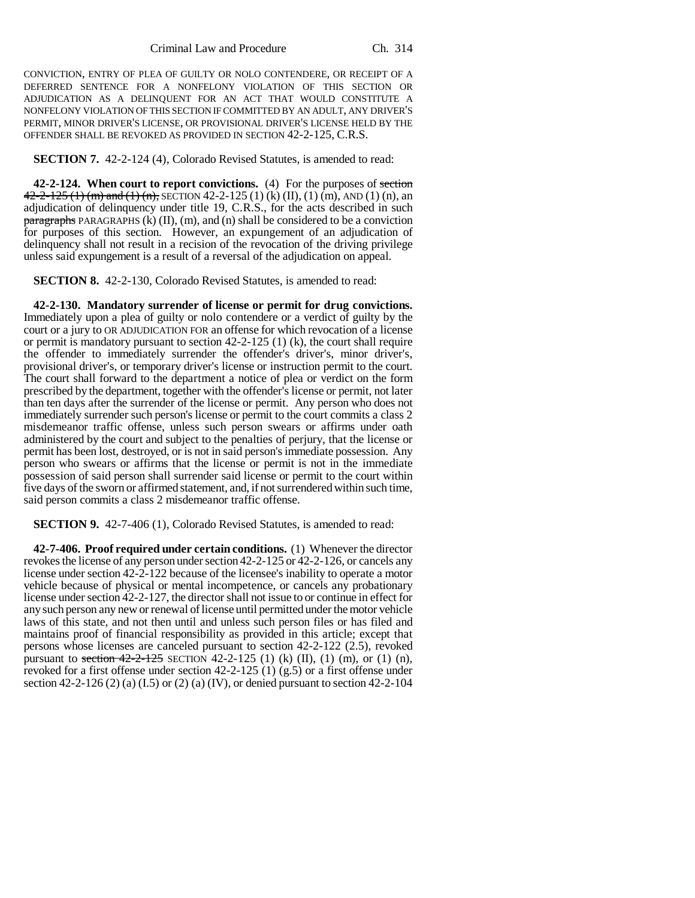CONVICTION, ENTRY OF PLEA OF GUILTY OR NOLO CONTENDERE, OR RECEIPT OF A DEFERRED SENTENCE FOR A NONFELONY VIOLATION OF THIS SECTION OR ADJUDICATION AS A DELINQUENT FOR AN ACT THAT WOULD CONSTITUTE A NONFELONY VIOLATION OF THIS SECTION IF COMMITTED BY AN ADULT, ANY DRIVER'S PERMIT, MINOR DRIVER'S LICENSE, OR PROVISIONAL DRIVER'S LICENSE HELD BY THE OFFENDER SHALL BE REVOKED AS PROVIDED IN SECTION 42-2-125, C.R.S.

**SECTION 7.** 42-2-124 (4), Colorado Revised Statutes, is amended to read:

**42-2-124. When court to report convictions.** (4) For the purposes of section  $42-2-125$  (1) (m) and (1) (n), SECTION 42-2-125 (1) (k) (II), (1) (m), AND (1) (n), an adjudication of delinquency under title 19, C.R.S., for the acts described in such  $\frac{1}{2}$  paragraphs PARAGRAPHS (k) (II), (m), and (n) shall be considered to be a conviction for purposes of this section. However, an expungement of an adjudication of delinquency shall not result in a recision of the revocation of the driving privilege unless said expungement is a result of a reversal of the adjudication on appeal.

**SECTION 8.** 42-2-130, Colorado Revised Statutes, is amended to read:

**42-2-130. Mandatory surrender of license or permit for drug convictions.** Immediately upon a plea of guilty or nolo contendere or a verdict of guilty by the court or a jury to OR ADJUDICATION FOR an offense for which revocation of a license or permit is mandatory pursuant to section 42-2-125 (1) (k), the court shall require the offender to immediately surrender the offender's driver's, minor driver's, provisional driver's, or temporary driver's license or instruction permit to the court. The court shall forward to the department a notice of plea or verdict on the form prescribed by the department, together with the offender's license or permit, not later than ten days after the surrender of the license or permit. Any person who does not immediately surrender such person's license or permit to the court commits a class 2 misdemeanor traffic offense, unless such person swears or affirms under oath administered by the court and subject to the penalties of perjury, that the license or permit has been lost, destroyed, or is not in said person's immediate possession. Any person who swears or affirms that the license or permit is not in the immediate possession of said person shall surrender said license or permit to the court within five days of the sworn or affirmed statement, and, if not surrendered within such time, said person commits a class 2 misdemeanor traffic offense.

**SECTION 9.** 42-7-406 (1), Colorado Revised Statutes, is amended to read:

**42-7-406. Proof required under certain conditions.** (1) Whenever the director revokes the license of any person under section 42-2-125 or 42-2-126, or cancels any license under section 42-2-122 because of the licensee's inability to operate a motor vehicle because of physical or mental incompetence, or cancels any probationary license under section 42-2-127, the director shall not issue to or continue in effect for any such person any new or renewal of license until permitted under the motor vehicle laws of this state, and not then until and unless such person files or has filed and maintains proof of financial responsibility as provided in this article; except that persons whose licenses are canceled pursuant to section 42-2-122 (2.5), revoked pursuant to section  $42-2-125$  SECTION  $42-2-125$  (1) (k) (II), (1) (m), or (1) (n), revoked for a first offense under section 42-2-125 (1) (g.5) or a first offense under section 42-2-126 (2) (a) (I.5) or (2) (a) (IV), or denied pursuant to section 42-2-104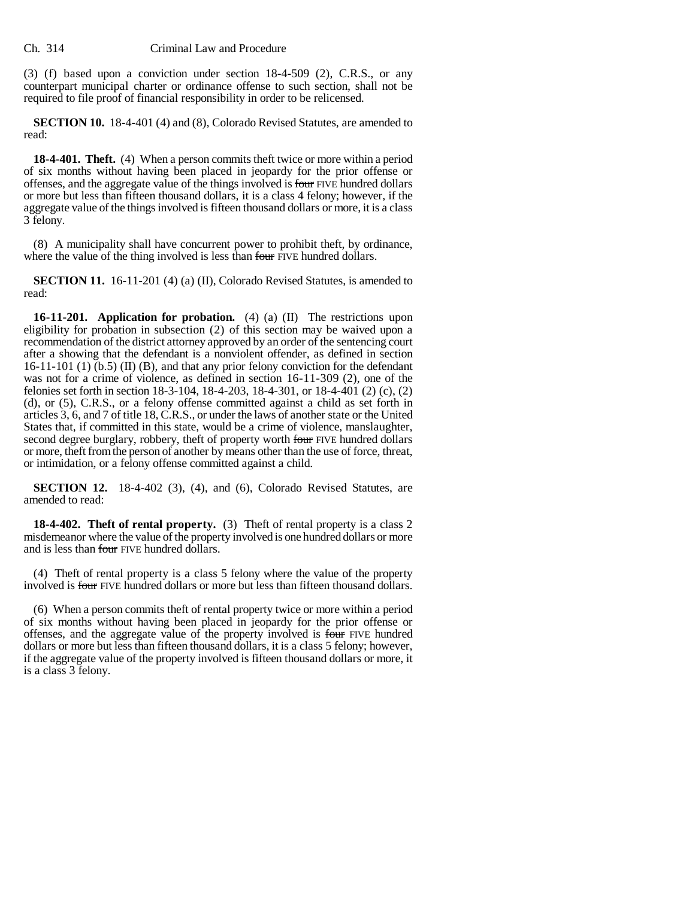### Ch. 314 Criminal Law and Procedure

(3) (f) based upon a conviction under section 18-4-509 (2), C.R.S., or any counterpart municipal charter or ordinance offense to such section, shall not be required to file proof of financial responsibility in order to be relicensed.

**SECTION 10.** 18-4-401 (4) and (8), Colorado Revised Statutes, are amended to read:

**18-4-401. Theft.** (4) When a person commits theft twice or more within a period of six months without having been placed in jeopardy for the prior offense or offenses, and the aggregate value of the things involved is four FIVE hundred dollars or more but less than fifteen thousand dollars, it is a class 4 felony; however, if the aggregate value of the things involved is fifteen thousand dollars or more, it is a class 3 felony.

(8) A municipality shall have concurrent power to prohibit theft, by ordinance, where the value of the thing involved is less than four FIVE hundred dollars.

**SECTION 11.** 16-11-201 (4) (a) (II), Colorado Revised Statutes, is amended to read:

**16-11-201. Application for probation.** (4) (a) (II) The restrictions upon eligibility for probation in subsection (2) of this section may be waived upon a recommendation of the district attorney approved by an order of the sentencing court after a showing that the defendant is a nonviolent offender, as defined in section 16-11-101 (1) (b.5) (II) (B), and that any prior felony conviction for the defendant was not for a crime of violence, as defined in section 16-11-309 (2), one of the felonies set forth in section 18-3-104, 18-4-203, 18-4-301, or 18-4-401 (2) (c), (2) (d), or (5), C.R.S., or a felony offense committed against a child as set forth in articles 3, 6, and 7 of title 18, C.R.S., or under the laws of another state or the United States that, if committed in this state, would be a crime of violence, manslaughter, second degree burglary, robbery, theft of property worth four FIVE hundred dollars or more, theft from the person of another by means other than the use of force, threat, or intimidation, or a felony offense committed against a child.

**SECTION 12.** 18-4-402 (3), (4), and (6), Colorado Revised Statutes, are amended to read:

**18-4-402. Theft of rental property.** (3) Theft of rental property is a class 2 misdemeanor where the value of the property involved is one hundred dollars or more and is less than four FIVE hundred dollars.

(4) Theft of rental property is a class 5 felony where the value of the property involved is four FIVE hundred dollars or more but less than fifteen thousand dollars.

(6) When a person commits theft of rental property twice or more within a period of six months without having been placed in jeopardy for the prior offense or offenses, and the aggregate value of the property involved is four FIVE hundred dollars or more but less than fifteen thousand dollars, it is a class 5 felony; however, if the aggregate value of the property involved is fifteen thousand dollars or more, it is a class 3 felony.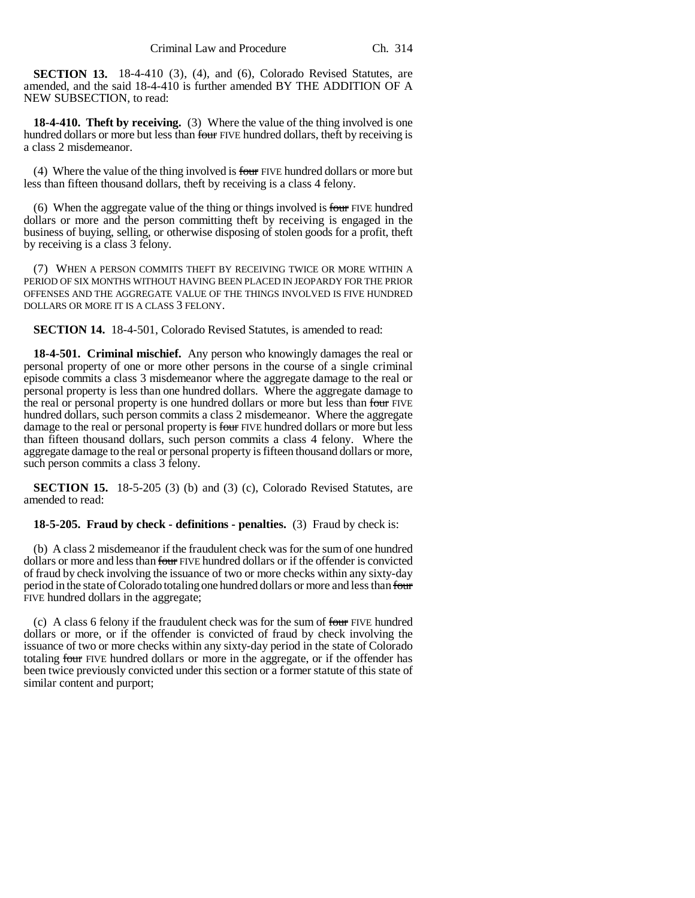**SECTION 13.** 18-4-410 (3), (4), and (6), Colorado Revised Statutes, are amended, and the said 18-4-410 is further amended BY THE ADDITION OF A NEW SUBSECTION, to read:

**18-4-410. Theft by receiving.** (3) Where the value of the thing involved is one hundred dollars or more but less than four FIVE hundred dollars, theft by receiving is a class 2 misdemeanor.

(4) Where the value of the thing involved is four FIVE hundred dollars or more but less than fifteen thousand dollars, theft by receiving is a class 4 felony.

(6) When the aggregate value of the thing or things involved is four FIVE hundred dollars or more and the person committing theft by receiving is engaged in the business of buying, selling, or otherwise disposing of stolen goods for a profit, theft by receiving is a class 3 felony.

(7) WHEN A PERSON COMMITS THEFT BY RECEIVING TWICE OR MORE WITHIN A PERIOD OF SIX MONTHS WITHOUT HAVING BEEN PLACED IN JEOPARDY FOR THE PRIOR OFFENSES AND THE AGGREGATE VALUE OF THE THINGS INVOLVED IS FIVE HUNDRED DOLLARS OR MORE IT IS A CLASS 3 FELONY.

**SECTION 14.** 18-4-501, Colorado Revised Statutes, is amended to read:

**18-4-501. Criminal mischief.** Any person who knowingly damages the real or personal property of one or more other persons in the course of a single criminal episode commits a class 3 misdemeanor where the aggregate damage to the real or personal property is less than one hundred dollars. Where the aggregate damage to the real or personal property is one hundred dollars or more but less than four FIVE hundred dollars, such person commits a class 2 misdemeanor. Where the aggregate damage to the real or personal property is four FIVE hundred dollars or more but less than fifteen thousand dollars, such person commits a class 4 felony. Where the aggregate damage to the real or personal property is fifteen thousand dollars or more, such person commits a class 3 felony.

**SECTION 15.** 18-5-205 (3) (b) and (3) (c), Colorado Revised Statutes, are amended to read:

## **18-5-205. Fraud by check - definitions - penalties.** (3) Fraud by check is:

(b) A class 2 misdemeanor if the fraudulent check was for the sum of one hundred dollars or more and less than four FIVE hundred dollars or if the offender is convicted of fraud by check involving the issuance of two or more checks within any sixty-day period in the state of Colorado totaling one hundred dollars or more and less than four FIVE hundred dollars in the aggregate;

(c) A class 6 felony if the fraudulent check was for the sum of  $f_{\text{out}}$  FIVE hundred dollars or more, or if the offender is convicted of fraud by check involving the issuance of two or more checks within any sixty-day period in the state of Colorado totaling four FIVE hundred dollars or more in the aggregate, or if the offender has been twice previously convicted under this section or a former statute of this state of similar content and purport;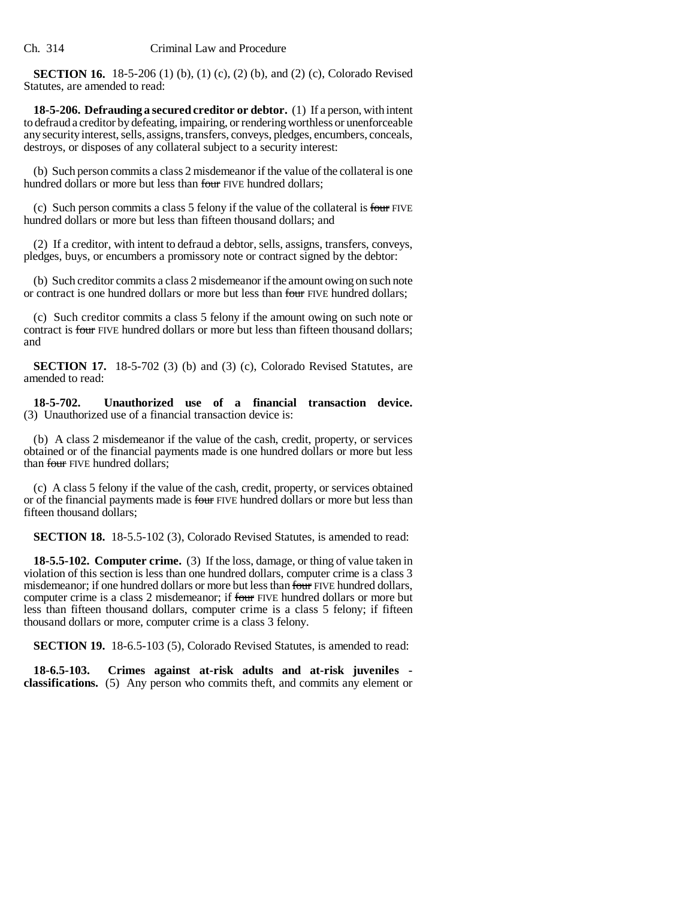**SECTION 16.** 18-5-206 (1) (b), (1) (c), (2) (b), and (2) (c), Colorado Revised Statutes, are amended to read:

**18-5-206. Defrauding a secured creditor or debtor.** (1) If a person, with intent to defraud a creditor by defeating, impairing, or rendering worthless or unenforceable any security interest, sells, assigns, transfers, conveys, pledges, encumbers, conceals, destroys, or disposes of any collateral subject to a security interest:

(b) Such person commits a class 2 misdemeanor if the value of the collateral is one hundred dollars or more but less than four FIVE hundred dollars;

(c) Such person commits a class 5 felony if the value of the collateral is four FIVE hundred dollars or more but less than fifteen thousand dollars; and

(2) If a creditor, with intent to defraud a debtor, sells, assigns, transfers, conveys, pledges, buys, or encumbers a promissory note or contract signed by the debtor:

(b) Such creditor commits a class 2 misdemeanor if the amount owing on such note or contract is one hundred dollars or more but less than four FIVE hundred dollars;

(c) Such creditor commits a class 5 felony if the amount owing on such note or contract is four FIVE hundred dollars or more but less than fifteen thousand dollars; and

**SECTION 17.** 18-5-702 (3) (b) and (3) (c), Colorado Revised Statutes, are amended to read:

**18-5-702. Unauthorized use of a financial transaction device.** (3) Unauthorized use of a financial transaction device is:

(b) A class 2 misdemeanor if the value of the cash, credit, property, or services obtained or of the financial payments made is one hundred dollars or more but less than four FIVE hundred dollars:

(c) A class 5 felony if the value of the cash, credit, property, or services obtained or of the financial payments made is four FIVE hundred dollars or more but less than fifteen thousand dollars;

**SECTION 18.** 18-5.5-102 (3), Colorado Revised Statutes, is amended to read:

**18-5.5-102. Computer crime.** (3) If the loss, damage, or thing of value taken in violation of this section is less than one hundred dollars, computer crime is a class 3 misdemeanor; if one hundred dollars or more but less than four FIVE hundred dollars, computer crime is a class 2 misdemeanor; if four FIVE hundred dollars or more but less than fifteen thousand dollars, computer crime is a class 5 felony; if fifteen thousand dollars or more, computer crime is a class 3 felony.

**SECTION 19.** 18-6.5-103 (5), Colorado Revised Statutes, is amended to read:

**18-6.5-103. Crimes against at-risk adults and at-risk juveniles classifications.** (5) Any person who commits theft, and commits any element or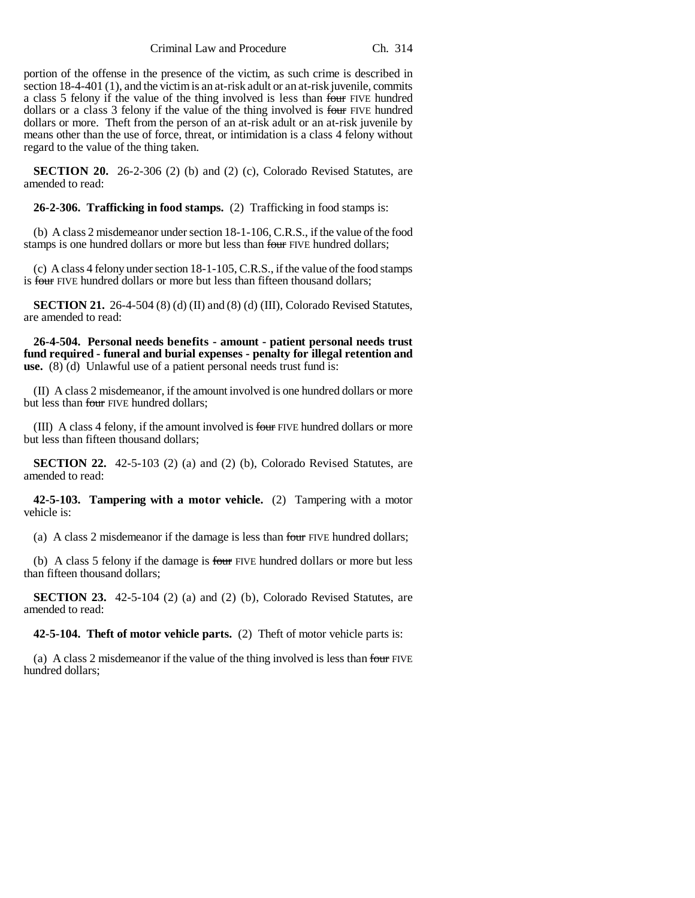Criminal Law and Procedure Ch. 314

portion of the offense in the presence of the victim, as such crime is described in section 18-4-401 (1), and the victim is an at-risk adult or an at-risk juvenile, commits a class 5 felony if the value of the thing involved is less than four FIVE hundred dollars or a class 3 felony if the value of the thing involved is four FIVE hundred dollars or more. Theft from the person of an at-risk adult or an at-risk juvenile by means other than the use of force, threat, or intimidation is a class 4 felony without regard to the value of the thing taken.

**SECTION 20.** 26-2-306 (2) (b) and (2) (c), Colorado Revised Statutes, are amended to read:

**26-2-306. Trafficking in food stamps.** (2) Trafficking in food stamps is:

(b) A class 2 misdemeanor under section 18-1-106, C.R.S., if the value of the food stamps is one hundred dollars or more but less than four FIVE hundred dollars;

(c) A class 4 felony under section 18-1-105, C.R.S., if the value of the food stamps is four FIVE hundred dollars or more but less than fifteen thousand dollars;

**SECTION 21.** 26-4-504 (8) (d) (II) and (8) (d) (III), Colorado Revised Statutes, are amended to read:

**26-4-504. Personal needs benefits - amount - patient personal needs trust fund required - funeral and burial expenses - penalty for illegal retention and** use. (8) (d) Unlawful use of a patient personal needs trust fund is:

(II) A class 2 misdemeanor, if the amount involved is one hundred dollars or more but less than four FIVE hundred dollars;

(III) A class 4 felony, if the amount involved is four FIVE hundred dollars or more but less than fifteen thousand dollars;

**SECTION 22.** 42-5-103 (2) (a) and (2) (b), Colorado Revised Statutes, are amended to read:

**42-5-103. Tampering with a motor vehicle.** (2) Tampering with a motor vehicle is:

(a) A class 2 misdemeanor if the damage is less than four FIVE hundred dollars;

(b) A class 5 felony if the damage is four FIVE hundred dollars or more but less than fifteen thousand dollars;

**SECTION 23.** 42-5-104 (2) (a) and (2) (b), Colorado Revised Statutes, are amended to read:

**42-5-104. Theft of motor vehicle parts.** (2) Theft of motor vehicle parts is:

(a) A class 2 misdemeanor if the value of the thing involved is less than four FIVE hundred dollars;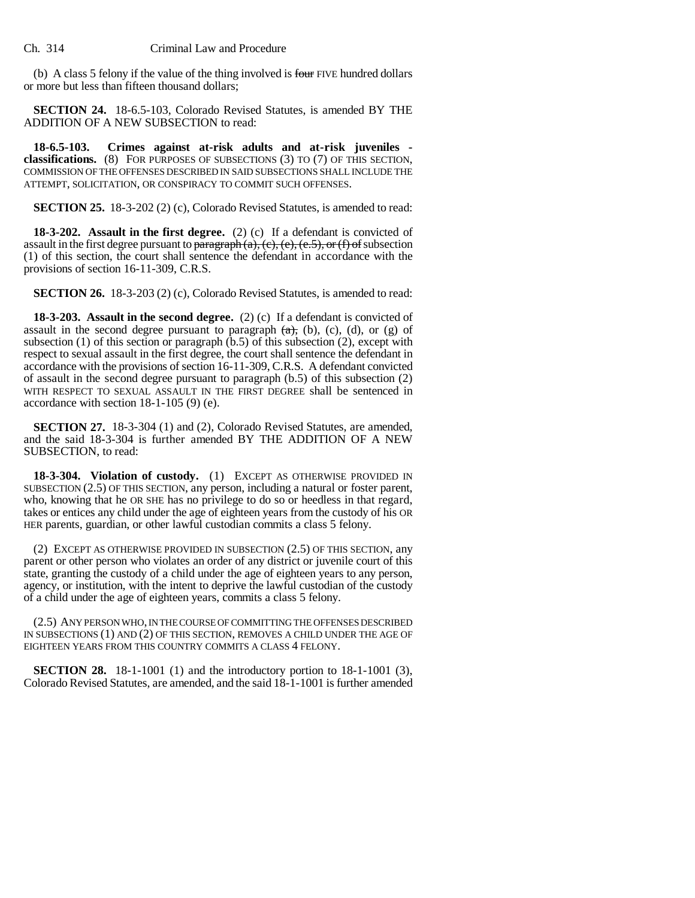(b) A class 5 felony if the value of the thing involved is four FIVE hundred dollars or more but less than fifteen thousand dollars;

**SECTION 24.** 18-6.5-103, Colorado Revised Statutes, is amended BY THE ADDITION OF A NEW SUBSECTION to read:

**18-6.5-103. Crimes against at-risk adults and at-risk juveniles classifications.** (8) FOR PURPOSES OF SUBSECTIONS (3) TO (7) OF THIS SECTION, COMMISSION OF THE OFFENSES DESCRIBED IN SAID SUBSECTIONS SHALL INCLUDE THE ATTEMPT, SOLICITATION, OR CONSPIRACY TO COMMIT SUCH OFFENSES.

**SECTION 25.** 18-3-202 (2) (c), Colorado Revised Statutes, is amended to read:

**18-3-202. Assault in the first degree.** (2) (c) If a defendant is convicted of assault in the first degree pursuant to paragraph  $(a)$ ,  $(c)$ ,  $(e)$ ,  $(e.5)$ , or  $(f)$  of subsection (1) of this section, the court shall sentence the defendant in accordance with the provisions of section 16-11-309, C.R.S.

**SECTION 26.** 18-3-203 (2) (c), Colorado Revised Statutes, is amended to read:

**18-3-203. Assault in the second degree.** (2) (c) If a defendant is convicted of assault in the second degree pursuant to paragraph  $(a)$ ,  $(b)$ ,  $(c)$ ,  $(d)$ , or  $(g)$  of subsection  $(1)$  of this section or paragraph  $(b.5)$  of this subsection  $(2)$ , except with respect to sexual assault in the first degree, the court shall sentence the defendant in accordance with the provisions of section 16-11-309, C.R.S. A defendant convicted of assault in the second degree pursuant to paragraph (b.5) of this subsection (2) WITH RESPECT TO SEXUAL ASSAULT IN THE FIRST DEGREE shall be sentenced in accordance with section 18-1-105 (9) (e).

**SECTION 27.** 18-3-304 (1) and (2), Colorado Revised Statutes, are amended, and the said 18-3-304 is further amended BY THE ADDITION OF A NEW SUBSECTION, to read:

**18-3-304. Violation of custody.** (1) EXCEPT AS OTHERWISE PROVIDED IN SUBSECTION (2.5) OF THIS SECTION, any person, including a natural or foster parent, who, knowing that he OR SHE has no privilege to do so or heedless in that regard, takes or entices any child under the age of eighteen years from the custody of his OR HER parents, guardian, or other lawful custodian commits a class 5 felony.

(2) EXCEPT AS OTHERWISE PROVIDED IN SUBSECTION (2.5) OF THIS SECTION, any parent or other person who violates an order of any district or juvenile court of this state, granting the custody of a child under the age of eighteen years to any person, agency, or institution, with the intent to deprive the lawful custodian of the custody of a child under the age of eighteen years, commits a class 5 felony.

(2.5) ANY PERSON WHO, IN THE COURSE OF COMMITTING THE OFFENSES DESCRIBED IN SUBSECTIONS (1) AND (2) OF THIS SECTION, REMOVES A CHILD UNDER THE AGE OF EIGHTEEN YEARS FROM THIS COUNTRY COMMITS A CLASS 4 FELONY.

**SECTION 28.** 18-1-1001 (1) and the introductory portion to 18-1-1001 (3), Colorado Revised Statutes, are amended, and the said 18-1-1001 is further amended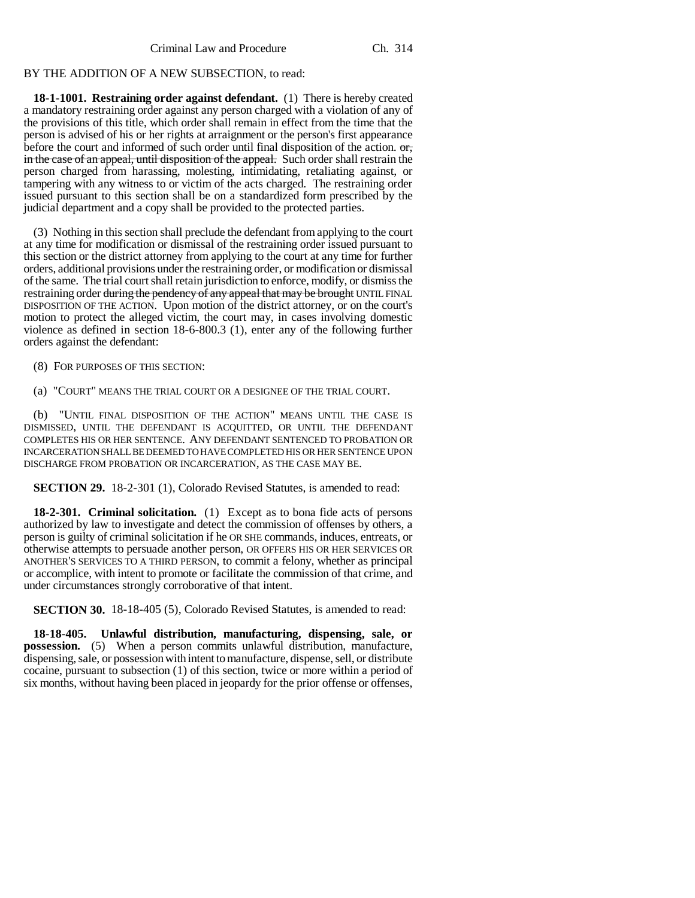## BY THE ADDITION OF A NEW SUBSECTION, to read:

**18-1-1001. Restraining order against defendant.** (1) There is hereby created a mandatory restraining order against any person charged with a violation of any of the provisions of this title, which order shall remain in effect from the time that the person is advised of his or her rights at arraignment or the person's first appearance before the court and informed of such order until final disposition of the action.  $\sigma$ , in the case of an appeal, until disposition of the appeal. Such order shall restrain the person charged from harassing, molesting, intimidating, retaliating against, or tampering with any witness to or victim of the acts charged. The restraining order issued pursuant to this section shall be on a standardized form prescribed by the judicial department and a copy shall be provided to the protected parties.

(3) Nothing in this section shall preclude the defendant from applying to the court at any time for modification or dismissal of the restraining order issued pursuant to this section or the district attorney from applying to the court at any time for further orders, additional provisions under the restraining order, or modification or dismissal of the same. The trial court shall retain jurisdiction to enforce, modify, or dismiss the restraining order during the pendency of any appeal that may be brought UNTIL FINAL DISPOSITION OF THE ACTION. Upon motion of the district attorney, or on the court's motion to protect the alleged victim, the court may, in cases involving domestic violence as defined in section 18-6-800.3 (1), enter any of the following further orders against the defendant:

(8) FOR PURPOSES OF THIS SECTION:

(a) "COURT" MEANS THE TRIAL COURT OR A DESIGNEE OF THE TRIAL COURT.

(b) "UNTIL FINAL DISPOSITION OF THE ACTION" MEANS UNTIL THE CASE IS DISMISSED, UNTIL THE DEFENDANT IS ACQUITTED, OR UNTIL THE DEFENDANT COMPLETES HIS OR HER SENTENCE. ANY DEFENDANT SENTENCED TO PROBATION OR INCARCERATION SHALL BE DEEMED TO HAVE COMPLETED HIS OR HER SENTENCE UPON DISCHARGE FROM PROBATION OR INCARCERATION, AS THE CASE MAY BE.

**SECTION 29.** 18-2-301 (1), Colorado Revised Statutes, is amended to read:

**18-2-301. Criminal solicitation.** (1) Except as to bona fide acts of persons authorized by law to investigate and detect the commission of offenses by others, a person is guilty of criminal solicitation if he OR SHE commands, induces, entreats, or otherwise attempts to persuade another person, OR OFFERS HIS OR HER SERVICES OR ANOTHER'S SERVICES TO A THIRD PERSON, to commit a felony, whether as principal or accomplice, with intent to promote or facilitate the commission of that crime, and under circumstances strongly corroborative of that intent.

**SECTION 30.** 18-18-405 (5), Colorado Revised Statutes, is amended to read:

**18-18-405. Unlawful distribution, manufacturing, dispensing, sale, or possession.** (5) When a person commits unlawful distribution, manufacture, dispensing, sale, or possession with intent to manufacture, dispense, sell, or distribute cocaine, pursuant to subsection (1) of this section, twice or more within a period of six months, without having been placed in jeopardy for the prior offense or offenses,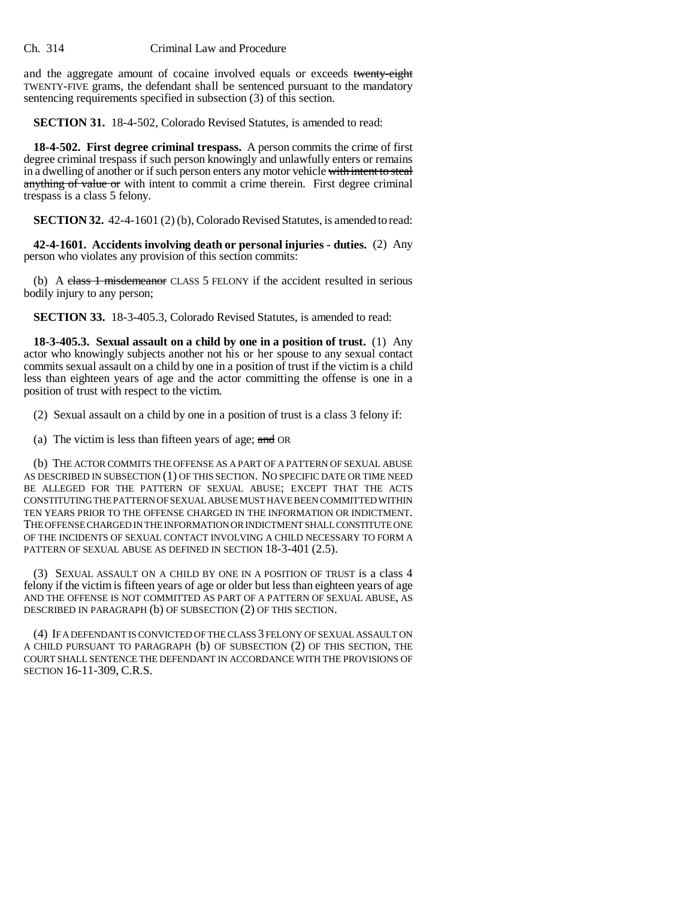## Ch. 314 Criminal Law and Procedure

and the aggregate amount of cocaine involved equals or exceeds twenty-eight TWENTY-FIVE grams, the defendant shall be sentenced pursuant to the mandatory sentencing requirements specified in subsection (3) of this section.

**SECTION 31.** 18-4-502, Colorado Revised Statutes, is amended to read:

**18-4-502. First degree criminal trespass.** A person commits the crime of first degree criminal trespass if such person knowingly and unlawfully enters or remains in a dwelling of another or if such person enters any motor vehicle with intent to steal anything of value or with intent to commit a crime therein. First degree criminal trespass is a class 5 felony.

**SECTION 32.** 42-4-1601 (2) (b), Colorado Revised Statutes, is amended to read:

**42-4-1601. Accidents involving death or personal injuries - duties.** (2) Any person who violates any provision of this section commits:

(b) A class 1 misdemeanor CLASS 5 FELONY if the accident resulted in serious bodily injury to any person;

**SECTION 33.** 18-3-405.3, Colorado Revised Statutes, is amended to read:

**18-3-405.3. Sexual assault on a child by one in a position of trust.** (1) Any actor who knowingly subjects another not his or her spouse to any sexual contact commits sexual assault on a child by one in a position of trust if the victim is a child less than eighteen years of age and the actor committing the offense is one in a position of trust with respect to the victim.

(2) Sexual assault on a child by one in a position of trust is a class 3 felony if:

(a) The victim is less than fifteen years of age;  $\alpha$ nd OR

(b) THE ACTOR COMMITS THE OFFENSE AS A PART OF A PATTERN OF SEXUAL ABUSE AS DESCRIBED IN SUBSECTION (1) OF THIS SECTION. NO SPECIFIC DATE OR TIME NEED BE ALLEGED FOR THE PATTERN OF SEXUAL ABUSE; EXCEPT THAT THE ACTS CONSTITUTING THE PATTERN OF SEXUAL ABUSE MUST HAVE BEEN COMMITTED WITHIN TEN YEARS PRIOR TO THE OFFENSE CHARGED IN THE INFORMATION OR INDICTMENT. THE OFFENSE CHARGED IN THE INFORMATION OR INDICTMENT SHALL CONSTITUTE ONE OF THE INCIDENTS OF SEXUAL CONTACT INVOLVING A CHILD NECESSARY TO FORM A PATTERN OF SEXUAL ABUSE AS DEFINED IN SECTION 18-3-401 (2.5).

(3) SEXUAL ASSAULT ON A CHILD BY ONE IN A POSITION OF TRUST is a class 4 felony if the victim is fifteen years of age or older but less than eighteen years of age AND THE OFFENSE IS NOT COMMITTED AS PART OF A PATTERN OF SEXUAL ABUSE, AS DESCRIBED IN PARAGRAPH (b) OF SUBSECTION (2) OF THIS SECTION.

(4) IF A DEFENDANT IS CONVICTED OF THE CLASS 3 FELONY OF SEXUAL ASSAULT ON A CHILD PURSUANT TO PARAGRAPH (b) OF SUBSECTION (2) OF THIS SECTION, THE COURT SHALL SENTENCE THE DEFENDANT IN ACCORDANCE WITH THE PROVISIONS OF SECTION 16-11-309, C.R.S.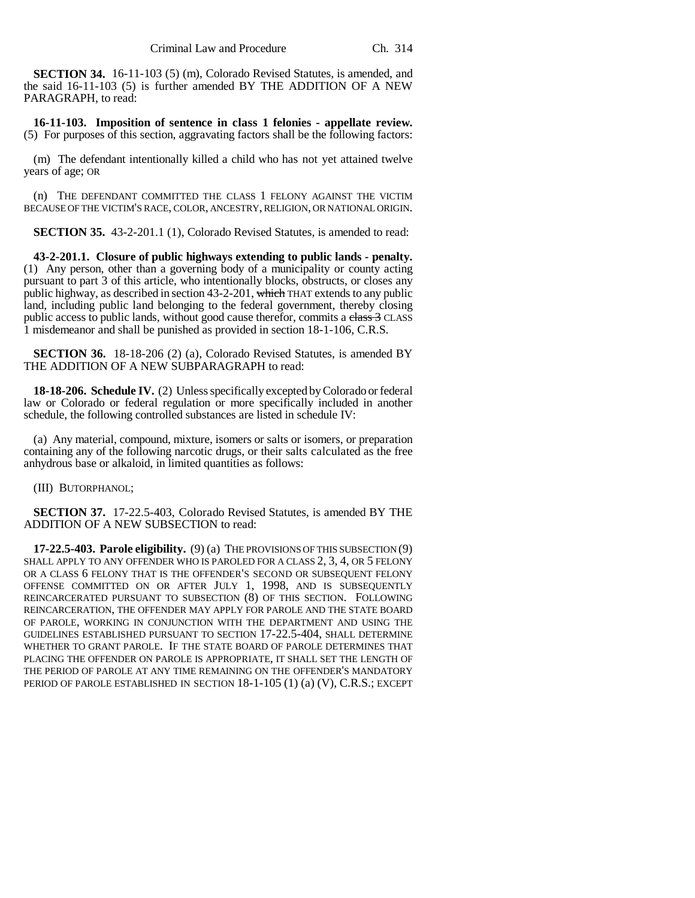**SECTION 34.** 16-11-103 (5) (m), Colorado Revised Statutes, is amended, and the said 16-11-103 (5) is further amended BY THE ADDITION OF A NEW PARAGRAPH, to read:

**16-11-103. Imposition of sentence in class 1 felonies - appellate review.** (5) For purposes of this section, aggravating factors shall be the following factors:

(m) The defendant intentionally killed a child who has not yet attained twelve years of age; OR

(n) THE DEFENDANT COMMITTED THE CLASS 1 FELONY AGAINST THE VICTIM BECAUSE OF THE VICTIM'S RACE, COLOR, ANCESTRY, RELIGION, OR NATIONAL ORIGIN.

**SECTION 35.** 43-2-201.1 (1), Colorado Revised Statutes, is amended to read:

**43-2-201.1. Closure of public highways extending to public lands - penalty.** (1) Any person, other than a governing body of a municipality or county acting pursuant to part 3 of this article, who intentionally blocks, obstructs, or closes any public highway, as described in section 43-2-201, which THAT extends to any public land, including public land belonging to the federal government, thereby closing public access to public lands, without good cause therefor, commits a class 3 CLASS 1 misdemeanor and shall be punished as provided in section 18-1-106, C.R.S.

**SECTION 36.** 18-18-206 (2) (a), Colorado Revised Statutes, is amended BY THE ADDITION OF A NEW SUBPARAGRAPH to read:

**18-18-206. Schedule IV.** (2) Unless specifically excepted by Colorado or federal law or Colorado or federal regulation or more specifically included in another schedule, the following controlled substances are listed in schedule IV:

(a) Any material, compound, mixture, isomers or salts or isomers, or preparation containing any of the following narcotic drugs, or their salts calculated as the free anhydrous base or alkaloid, in limited quantities as follows:

(III) BUTORPHANOL;

**SECTION 37.** 17-22.5-403, Colorado Revised Statutes, is amended BY THE ADDITION OF A NEW SUBSECTION to read:

**17-22.5-403. Parole eligibility.** (9) (a) THE PROVISIONS OF THIS SUBSECTION (9) SHALL APPLY TO ANY OFFENDER WHO IS PAROLED FOR A CLASS 2, 3, 4, OR 5 FELONY OR A CLASS 6 FELONY THAT IS THE OFFENDER'S SECOND OR SUBSEQUENT FELONY OFFENSE COMMITTED ON OR AFTER JULY 1, 1998, AND IS SUBSEQUENTLY REINCARCERATED PURSUANT TO SUBSECTION (8) OF THIS SECTION. FOLLOWING REINCARCERATION, THE OFFENDER MAY APPLY FOR PAROLE AND THE STATE BOARD OF PAROLE, WORKING IN CONJUNCTION WITH THE DEPARTMENT AND USING THE GUIDELINES ESTABLISHED PURSUANT TO SECTION 17-22.5-404, SHALL DETERMINE WHETHER TO GRANT PAROLE. IF THE STATE BOARD OF PAROLE DETERMINES THAT PLACING THE OFFENDER ON PAROLE IS APPROPRIATE, IT SHALL SET THE LENGTH OF THE PERIOD OF PAROLE AT ANY TIME REMAINING ON THE OFFENDER'S MANDATORY PERIOD OF PAROLE ESTABLISHED IN SECTION 18-1-105 (1) (a) (V), C.R.S.; EXCEPT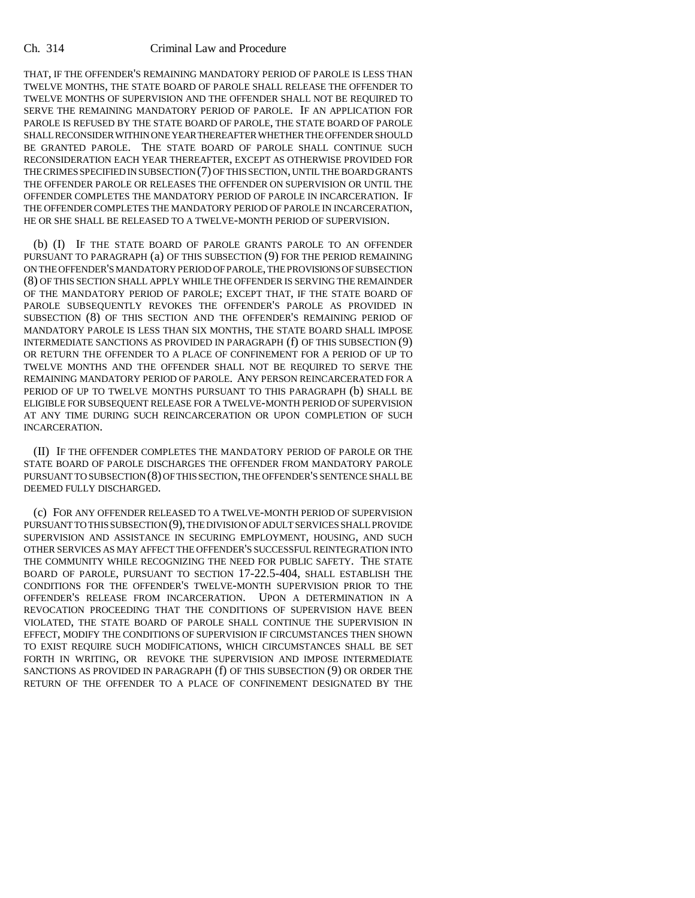### Ch. 314 Criminal Law and Procedure

THAT, IF THE OFFENDER'S REMAINING MANDATORY PERIOD OF PAROLE IS LESS THAN TWELVE MONTHS, THE STATE BOARD OF PAROLE SHALL RELEASE THE OFFENDER TO TWELVE MONTHS OF SUPERVISION AND THE OFFENDER SHALL NOT BE REQUIRED TO SERVE THE REMAINING MANDATORY PERIOD OF PAROLE. IF AN APPLICATION FOR PAROLE IS REFUSED BY THE STATE BOARD OF PAROLE, THE STATE BOARD OF PAROLE SHALL RECONSIDER WITHIN ONE YEAR THEREAFTER WHETHER THE OFFENDER SHOULD BE GRANTED PAROLE. THE STATE BOARD OF PAROLE SHALL CONTINUE SUCH RECONSIDERATION EACH YEAR THEREAFTER, EXCEPT AS OTHERWISE PROVIDED FOR THE CRIMES SPECIFIED IN SUBSECTION (7) OF THIS SECTION, UNTIL THE BOARD GRANTS THE OFFENDER PAROLE OR RELEASES THE OFFENDER ON SUPERVISION OR UNTIL THE OFFENDER COMPLETES THE MANDATORY PERIOD OF PAROLE IN INCARCERATION. IF THE OFFENDER COMPLETES THE MANDATORY PERIOD OF PAROLE IN INCARCERATION, HE OR SHE SHALL BE RELEASED TO A TWELVE-MONTH PERIOD OF SUPERVISION.

(b) (I) IF THE STATE BOARD OF PAROLE GRANTS PAROLE TO AN OFFENDER PURSUANT TO PARAGRAPH (a) OF THIS SUBSECTION (9) FOR THE PERIOD REMAINING ON THE OFFENDER'S MANDATORY PERIOD OF PAROLE, THE PROVISIONS OF SUBSECTION (8) OF THIS SECTION SHALL APPLY WHILE THE OFFENDER IS SERVING THE REMAINDER OF THE MANDATORY PERIOD OF PAROLE; EXCEPT THAT, IF THE STATE BOARD OF PAROLE SUBSEQUENTLY REVOKES THE OFFENDER'S PAROLE AS PROVIDED IN SUBSECTION (8) OF THIS SECTION AND THE OFFENDER'S REMAINING PERIOD OF MANDATORY PAROLE IS LESS THAN SIX MONTHS, THE STATE BOARD SHALL IMPOSE INTERMEDIATE SANCTIONS AS PROVIDED IN PARAGRAPH (f) OF THIS SUBSECTION (9) OR RETURN THE OFFENDER TO A PLACE OF CONFINEMENT FOR A PERIOD OF UP TO TWELVE MONTHS AND THE OFFENDER SHALL NOT BE REQUIRED TO SERVE THE REMAINING MANDATORY PERIOD OF PAROLE. ANY PERSON REINCARCERATED FOR A PERIOD OF UP TO TWELVE MONTHS PURSUANT TO THIS PARAGRAPH (b) SHALL BE ELIGIBLE FOR SUBSEQUENT RELEASE FOR A TWELVE-MONTH PERIOD OF SUPERVISION AT ANY TIME DURING SUCH REINCARCERATION OR UPON COMPLETION OF SUCH INCARCERATION.

(II) IF THE OFFENDER COMPLETES THE MANDATORY PERIOD OF PAROLE OR THE STATE BOARD OF PAROLE DISCHARGES THE OFFENDER FROM MANDATORY PAROLE PURSUANT TO SUBSECTION (8) OF THIS SECTION, THE OFFENDER'S SENTENCE SHALL BE DEEMED FULLY DISCHARGED.

(c) FOR ANY OFFENDER RELEASED TO A TWELVE-MONTH PERIOD OF SUPERVISION PURSUANT TO THIS SUBSECTION (9), THE DIVISION OF ADULT SERVICES SHALL PROVIDE SUPERVISION AND ASSISTANCE IN SECURING EMPLOYMENT, HOUSING, AND SUCH OTHER SERVICES AS MAY AFFECT THE OFFENDER'S SUCCESSFUL REINTEGRATION INTO THE COMMUNITY WHILE RECOGNIZING THE NEED FOR PUBLIC SAFETY. THE STATE BOARD OF PAROLE, PURSUANT TO SECTION 17-22.5-404, SHALL ESTABLISH THE CONDITIONS FOR THE OFFENDER'S TWELVE-MONTH SUPERVISION PRIOR TO THE OFFENDER'S RELEASE FROM INCARCERATION. UPON A DETERMINATION IN A REVOCATION PROCEEDING THAT THE CONDITIONS OF SUPERVISION HAVE BEEN VIOLATED, THE STATE BOARD OF PAROLE SHALL CONTINUE THE SUPERVISION IN EFFECT, MODIFY THE CONDITIONS OF SUPERVISION IF CIRCUMSTANCES THEN SHOWN TO EXIST REQUIRE SUCH MODIFICATIONS, WHICH CIRCUMSTANCES SHALL BE SET FORTH IN WRITING, OR REVOKE THE SUPERVISION AND IMPOSE INTERMEDIATE SANCTIONS AS PROVIDED IN PARAGRAPH (f) OF THIS SUBSECTION (9) OR ORDER THE RETURN OF THE OFFENDER TO A PLACE OF CONFINEMENT DESIGNATED BY THE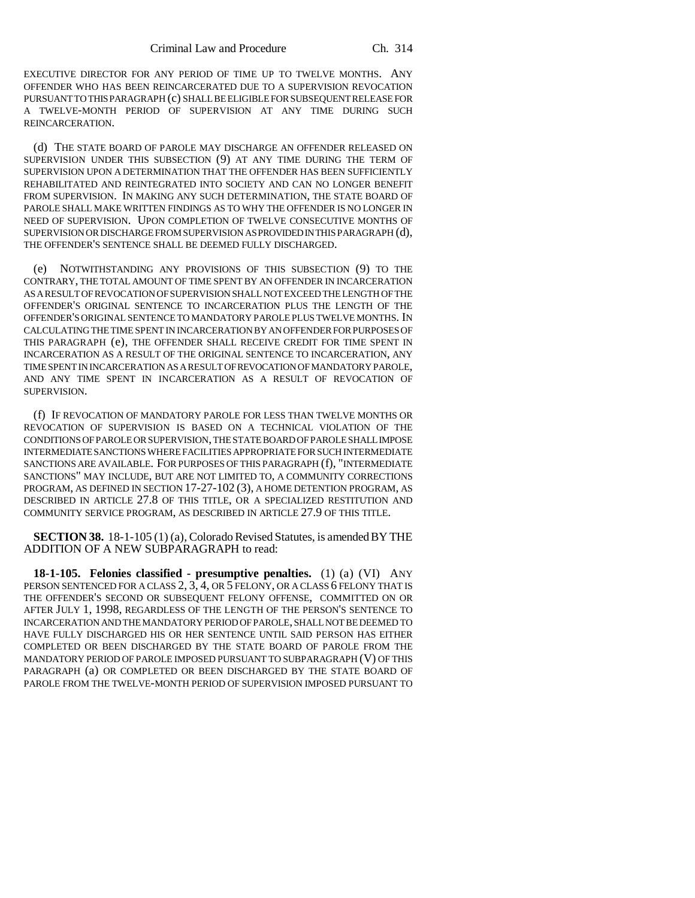EXECUTIVE DIRECTOR FOR ANY PERIOD OF TIME UP TO TWELVE MONTHS. ANY OFFENDER WHO HAS BEEN REINCARCERATED DUE TO A SUPERVISION REVOCATION PURSUANT TO THIS PARAGRAPH (c) SHALL BE ELIGIBLE FOR SUBSEQUENT RELEASE FOR A TWELVE-MONTH PERIOD OF SUPERVISION AT ANY TIME DURING SUCH REINCARCERATION.

(d) THE STATE BOARD OF PAROLE MAY DISCHARGE AN OFFENDER RELEASED ON SUPERVISION UNDER THIS SUBSECTION (9) AT ANY TIME DURING THE TERM OF SUPERVISION UPON A DETERMINATION THAT THE OFFENDER HAS BEEN SUFFICIENTLY REHABILITATED AND REINTEGRATED INTO SOCIETY AND CAN NO LONGER BENEFIT FROM SUPERVISION. IN MAKING ANY SUCH DETERMINATION, THE STATE BOARD OF PAROLE SHALL MAKE WRITTEN FINDINGS AS TO WHY THE OFFENDER IS NO LONGER IN NEED OF SUPERVISION. UPON COMPLETION OF TWELVE CONSECUTIVE MONTHS OF SUPERVISION OR DISCHARGE FROM SUPERVISION AS PROVIDED IN THIS PARAGRAPH (d), THE OFFENDER'S SENTENCE SHALL BE DEEMED FULLY DISCHARGED.

(e) NOTWITHSTANDING ANY PROVISIONS OF THIS SUBSECTION (9) TO THE CONTRARY, THE TOTAL AMOUNT OF TIME SPENT BY AN OFFENDER IN INCARCERATION AS A RESULT OF REVOCATION OF SUPERVISION SHALL NOT EXCEED THE LENGTH OF THE OFFENDER'S ORIGINAL SENTENCE TO INCARCERATION PLUS THE LENGTH OF THE OFFENDER'S ORIGINAL SENTENCE TO MANDATORY PAROLE PLUS TWELVE MONTHS. IN CALCULATING THE TIME SPENT IN INCARCERATION BY AN OFFENDER FOR PURPOSES OF THIS PARAGRAPH (e), THE OFFENDER SHALL RECEIVE CREDIT FOR TIME SPENT IN INCARCERATION AS A RESULT OF THE ORIGINAL SENTENCE TO INCARCERATION, ANY TIME SPENT IN INCARCERATION AS A RESULT OF REVOCATION OF MANDATORY PAROLE, AND ANY TIME SPENT IN INCARCERATION AS A RESULT OF REVOCATION OF SUPERVISION.

(f) IF REVOCATION OF MANDATORY PAROLE FOR LESS THAN TWELVE MONTHS OR REVOCATION OF SUPERVISION IS BASED ON A TECHNICAL VIOLATION OF THE CONDITIONS OF PAROLE OR SUPERVISION, THE STATE BOARD OF PAROLE SHALL IMPOSE INTERMEDIATE SANCTIONS WHERE FACILITIES APPROPRIATE FOR SUCH INTERMEDIATE SANCTIONS ARE AVAILABLE. FOR PURPOSES OF THIS PARAGRAPH (f), "INTERMEDIATE SANCTIONS" MAY INCLUDE, BUT ARE NOT LIMITED TO, A COMMUNITY CORRECTIONS PROGRAM, AS DEFINED IN SECTION 17-27-102 (3), A HOME DETENTION PROGRAM, AS DESCRIBED IN ARTICLE 27.8 OF THIS TITLE, OR A SPECIALIZED RESTITUTION AND COMMUNITY SERVICE PROGRAM, AS DESCRIBED IN ARTICLE 27.9 OF THIS TITLE.

**SECTION 38.** 18-1-105 (1) (a), Colorado Revised Statutes, is amended BY THE ADDITION OF A NEW SUBPARAGRAPH to read:

**18-1-105. Felonies classified - presumptive penalties.** (1) (a) (VI) ANY PERSON SENTENCED FOR A CLASS  $2, 3, 4$ , OR  $5$  FELONY, OR A CLASS 6 FELONY THAT IS THE OFFENDER'S SECOND OR SUBSEQUENT FELONY OFFENSE, COMMITTED ON OR AFTER JULY 1, 1998, REGARDLESS OF THE LENGTH OF THE PERSON'S SENTENCE TO INCARCERATION AND THE MANDATORY PERIOD OF PAROLE, SHALL NOT BE DEEMED TO HAVE FULLY DISCHARGED HIS OR HER SENTENCE UNTIL SAID PERSON HAS EITHER COMPLETED OR BEEN DISCHARGED BY THE STATE BOARD OF PAROLE FROM THE MANDATORY PERIOD OF PAROLE IMPOSED PURSUANT TO SUBPARAGRAPH (V) OF THIS PARAGRAPH (a) OR COMPLETED OR BEEN DISCHARGED BY THE STATE BOARD OF PAROLE FROM THE TWELVE-MONTH PERIOD OF SUPERVISION IMPOSED PURSUANT TO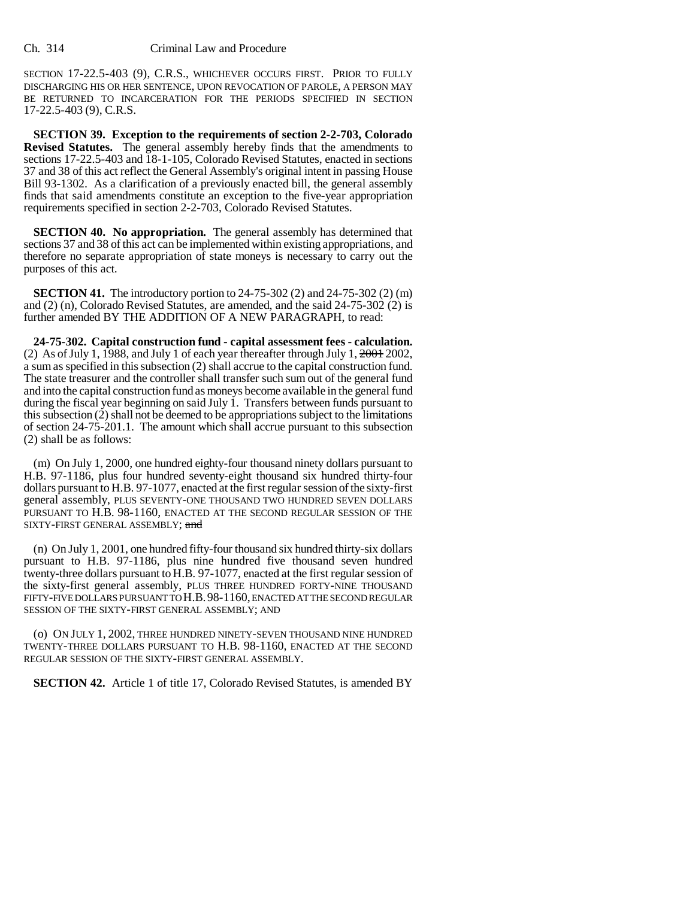SECTION 17-22.5-403 (9), C.R.S., WHICHEVER OCCURS FIRST. PRIOR TO FULLY DISCHARGING HIS OR HER SENTENCE, UPON REVOCATION OF PAROLE, A PERSON MAY BE RETURNED TO INCARCERATION FOR THE PERIODS SPECIFIED IN SECTION 17-22.5-403 (9), C.R.S.

**SECTION 39. Exception to the requirements of section 2-2-703, Colorado Revised Statutes.** The general assembly hereby finds that the amendments to sections 17-22.5-403 and 18-1-105, Colorado Revised Statutes, enacted in sections 37 and 38 of this act reflect the General Assembly's original intent in passing House Bill 93-1302. As a clarification of a previously enacted bill, the general assembly finds that said amendments constitute an exception to the five-year appropriation requirements specified in section 2-2-703, Colorado Revised Statutes.

**SECTION 40. No appropriation.** The general assembly has determined that sections 37 and 38 of this act can be implemented within existing appropriations, and therefore no separate appropriation of state moneys is necessary to carry out the purposes of this act.

**SECTION 41.** The introductory portion to 24-75-302 (2) and 24-75-302 (2) (m) and (2) (n), Colorado Revised Statutes, are amended, and the said 24-75-302 (2) is further amended BY THE ADDITION OF A NEW PARAGRAPH, to read:

**24-75-302. Capital construction fund - capital assessment fees - calculation.** (2) As of July 1, 1988, and July 1 of each year thereafter through July 1,  $2001$  2002, a sum as specified in this subsection (2) shall accrue to the capital construction fund. The state treasurer and the controller shall transfer such sum out of the general fund and into the capital construction fund as moneys become available in the general fund during the fiscal year beginning on said July 1. Transfers between funds pursuant to this subsection (2) shall not be deemed to be appropriations subject to the limitations of section 24-75-201.1. The amount which shall accrue pursuant to this subsection (2) shall be as follows:

(m) On July 1, 2000, one hundred eighty-four thousand ninety dollars pursuant to H.B. 97-1186, plus four hundred seventy-eight thousand six hundred thirty-four dollars pursuant to H.B. 97-1077, enacted at the first regular session of the sixty-first general assembly, PLUS SEVENTY-ONE THOUSAND TWO HUNDRED SEVEN DOLLARS PURSUANT TO H.B. 98-1160, ENACTED AT THE SECOND REGULAR SESSION OF THE SIXTY-FIRST GENERAL ASSEMBLY; and

(n) On July 1, 2001, one hundred fifty-four thousand six hundred thirty-six dollars pursuant to H.B. 97-1186, plus nine hundred five thousand seven hundred twenty-three dollars pursuant to H.B. 97-1077, enacted at the first regular session of the sixty-first general assembly, PLUS THREE HUNDRED FORTY-NINE THOUSAND FIFTY-FIVE DOLLARS PURSUANT TO H.B.98-1160, ENACTED AT THE SECOND REGULAR SESSION OF THE SIXTY-FIRST GENERAL ASSEMBLY; AND

(o) ON JULY 1, 2002, THREE HUNDRED NINETY-SEVEN THOUSAND NINE HUNDRED TWENTY-THREE DOLLARS PURSUANT TO H.B. 98-1160, ENACTED AT THE SECOND REGULAR SESSION OF THE SIXTY-FIRST GENERAL ASSEMBLY.

**SECTION 42.** Article 1 of title 17, Colorado Revised Statutes, is amended BY